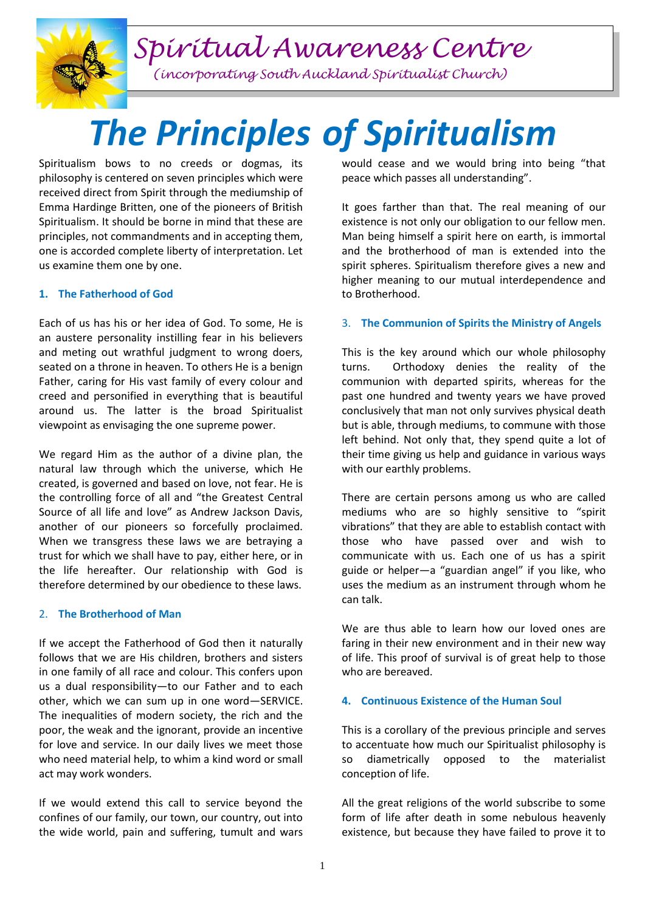*Spiritual Awareness Centre*

*(incorporating South Auckland Spiritualist Church)*

# *The Principles of Spiritualism*

Spiritualism bows to no creeds or dogmas, its philosophy is centered on seven principles which were received direct from Spirit through the mediumship of Emma Hardinge Britten, one of the pioneers of British Spiritualism. It should be borne in mind that these are principles, not commandments and in accepting them, one is accorded complete liberty of interpretation. Let us examine them one by one.

## **1. The Fatherhood of God**

Each of us has his or her idea of God. To some, He is an austere personality instilling fear in his believers and meting out wrathful judgment to wrong doers, seated on a throne in heaven. To others He is a benign Father, caring for His vast family of every colour and creed and personified in everything that is beautiful around us. The latter is the broad Spiritualist viewpoint as envisaging the one supreme power.

We regard Him as the author of a divine plan, the natural law through which the universe, which He created, is governed and based on love, not fear. He is the controlling force of all and "the Greatest Central Source of all life and love" as Andrew Jackson Davis, another of our pioneers so forcefully proclaimed. When we transgress these laws we are betraying a trust for which we shall have to pay, either here, or in the life hereafter. Our relationship with God is therefore determined by our obedience to these laws.

#### 2. **The Brotherhood of Man**

If we accept the Fatherhood of God then it naturally follows that we are His children, brothers and sisters in one family of all race and colour. This confers upon us a dual responsibility—to our Father and to each other, which we can sum up in one word—SERVICE. The inequalities of modern society, the rich and the poor, the weak and the ignorant, provide an incentive for love and service. In our daily lives we meet those who need material help, to whim a kind word or small act may work wonders.

If we would extend this call to service beyond the confines of our family, our town, our country, out into the wide world, pain and suffering, tumult and wars

would cease and we would bring into being "that peace which passes all understanding".

It goes farther than that. The real meaning of our existence is not only our obligation to our fellow men. Man being himself a spirit here on earth, is immortal and the brotherhood of man is extended into the spirit spheres. Spiritualism therefore gives a new and higher meaning to our mutual interdependence and to Brotherhood.

#### 3. **The Communion of Spirits the Ministry of Angels**

This is the key around which our whole philosophy turns. Orthodoxy denies the reality of the communion with departed spirits, whereas for the past one hundred and twenty years we have proved conclusively that man not only survives physical death but is able, through mediums, to commune with those left behind. Not only that, they spend quite a lot of their time giving us help and guidance in various ways with our earthly problems.

There are certain persons among us who are called mediums who are so highly sensitive to "spirit vibrations" that they are able to establish contact with those who have passed over and wish to communicate with us. Each one of us has a spirit guide or helper—a "guardian angel" if you like, who uses the medium as an instrument through whom he can talk.

We are thus able to learn how our loved ones are faring in their new environment and in their new way of life. This proof of survival is of great help to those who are bereaved.

#### **4. Continuous Existence of the Human Soul**

This is a corollary of the previous principle and serves to accentuate how much our Spiritualist philosophy is so diametrically opposed to the materialist conception of life.

All the great religions of the world subscribe to some form of life after death in some nebulous heavenly existence, but because they have failed to prove it to